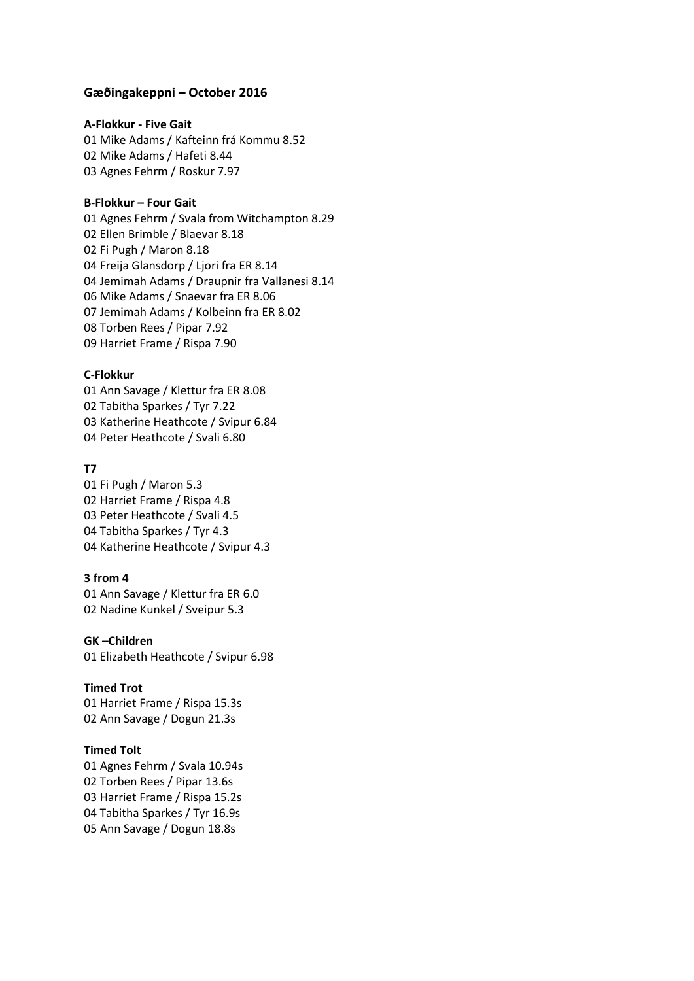### **Gæðingakeppni – October 2016**

#### **A-Flokkur - Five Gait**

01 Mike Adams / Kafteinn frá Kommu 8.52 02 Mike Adams / Hafeti 8.44 03 Agnes Fehrm / Roskur 7.97

### **B-Flokkur – Four Gait**

01 Agnes Fehrm / Svala from Witchampton 8.29 02 Ellen Brimble / Blaevar 8.18 02 Fi Pugh / Maron 8.18 04 Freija Glansdorp / Ljori fra ER 8.14 04 Jemimah Adams / Draupnir fra Vallanesi 8.14 06 Mike Adams / Snaevar fra ER 8.06 07 Jemimah Adams / Kolbeinn fra ER 8.02 08 Torben Rees / Pipar 7.92 09 Harriet Frame / Rispa 7.90

### **C-Flokkur**

01 Ann Savage / Klettur fra ER 8.08 02 Tabitha Sparkes / Tyr 7.22 03 Katherine Heathcote / Svipur 6.84 04 Peter Heathcote / Svali 6.80

### **T7**

01 Fi Pugh / Maron 5.3 02 Harriet Frame / Rispa 4.8 03 Peter Heathcote / Svali 4.5 04 Tabitha Sparkes / Tyr 4.3 04 Katherine Heathcote / Svipur 4.3

### **3 from 4**

01 Ann Savage / Klettur fra ER 6.0 02 Nadine Kunkel / Sveipur 5.3

## **GK –Children**

01 Elizabeth Heathcote / Svipur 6.98

### **Timed Trot**

01 Harriet Frame / Rispa 15.3s 02 Ann Savage / Dogun 21.3s

### **Timed Tolt**

01 Agnes Fehrm / Svala 10.94s 02 Torben Rees / Pipar 13.6s 03 Harriet Frame / Rispa 15.2s 04 Tabitha Sparkes / Tyr 16.9s 05 Ann Savage / Dogun 18.8s